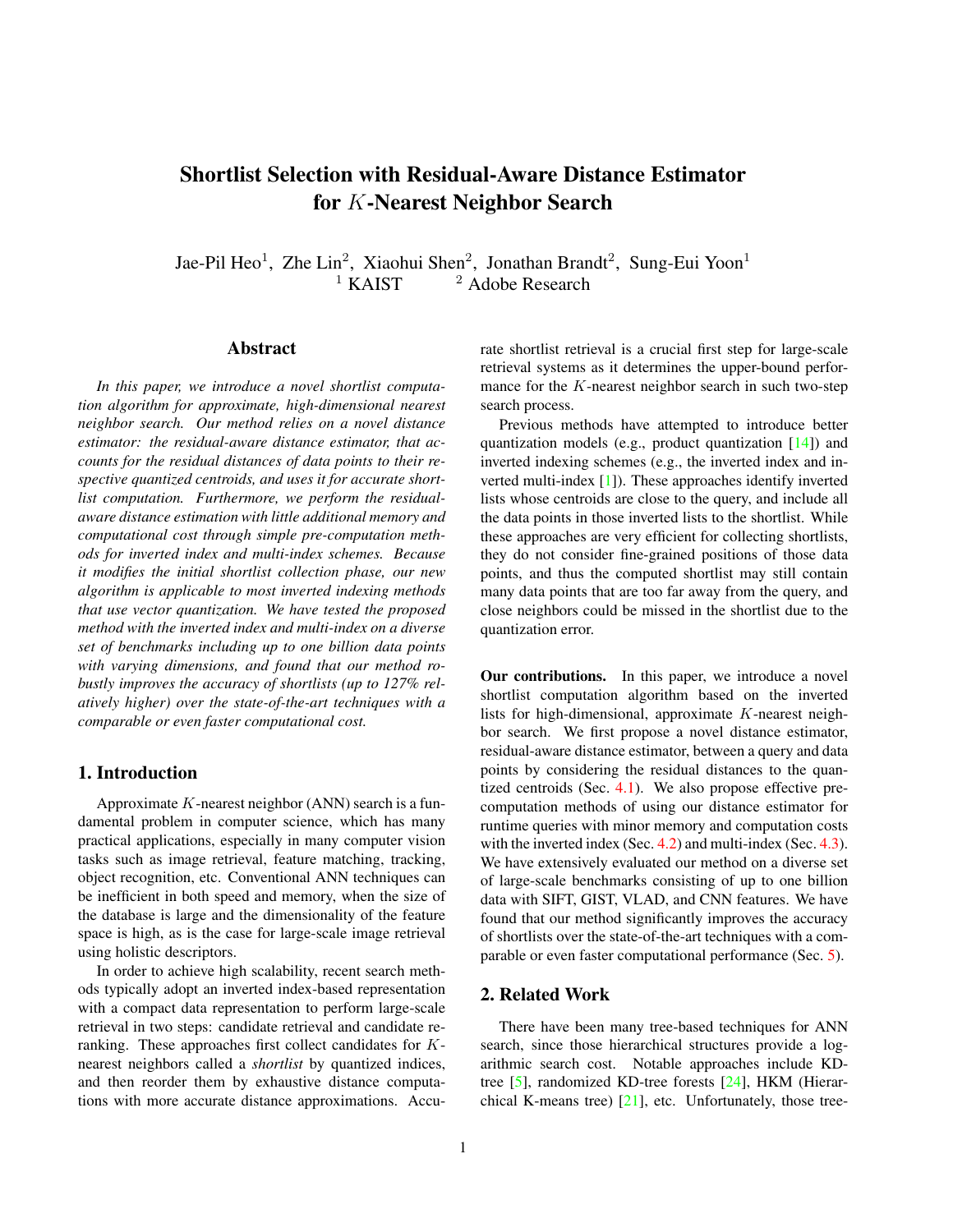# <span id="page-0-0"></span>Shortlist Selection with Residual-Aware Distance Estimator for K-Nearest Neighbor Search

Jae-Pil Heo<sup>1</sup>, Zhe Lin<sup>2</sup>, Xiaohui Shen<sup>2</sup>, Jonathan Brandt<sup>2</sup>, Sung-Eui Yoon<sup>1</sup> <sup>1</sup> KAIST  $^2$  Adobe Research

# Abstract

*In this paper, we introduce a novel shortlist computation algorithm for approximate, high-dimensional nearest neighbor search. Our method relies on a novel distance estimator: the residual-aware distance estimator, that accounts for the residual distances of data points to their respective quantized centroids, and uses it for accurate shortlist computation. Furthermore, we perform the residualaware distance estimation with little additional memory and computational cost through simple pre-computation methods for inverted index and multi-index schemes. Because it modifies the initial shortlist collection phase, our new algorithm is applicable to most inverted indexing methods that use vector quantization. We have tested the proposed method with the inverted index and multi-index on a diverse set of benchmarks including up to one billion data points with varying dimensions, and found that our method robustly improves the accuracy of shortlists (up to 127% relatively higher) over the state-of-the-art techniques with a comparable or even faster computational cost.*

# 1. Introduction

Approximate  $K$ -nearest neighbor (ANN) search is a fundamental problem in computer science, which has many practical applications, especially in many computer vision tasks such as image retrieval, feature matching, tracking, object recognition, etc. Conventional ANN techniques can be inefficient in both speed and memory, when the size of the database is large and the dimensionality of the feature space is high, as is the case for large-scale image retrieval using holistic descriptors.

In order to achieve high scalability, recent search methods typically adopt an inverted index-based representation with a compact data representation to perform large-scale retrieval in two steps: candidate retrieval and candidate reranking. These approaches first collect candidates for Knearest neighbors called a *shortlist* by quantized indices, and then reorder them by exhaustive distance computations with more accurate distance approximations. Accurate shortlist retrieval is a crucial first step for large-scale retrieval systems as it determines the upper-bound performance for the  $K$ -nearest neighbor search in such two-step search process.

Previous methods have attempted to introduce better quantization models (e.g., product quantization [\[14\]](#page-8-0)) and inverted indexing schemes (e.g., the inverted index and inverted multi-index [\[1\]](#page-8-1)). These approaches identify inverted lists whose centroids are close to the query, and include all the data points in those inverted lists to the shortlist. While these approaches are very efficient for collecting shortlists, they do not consider fine-grained positions of those data points, and thus the computed shortlist may still contain many data points that are too far away from the query, and close neighbors could be missed in the shortlist due to the quantization error.

Our contributions. In this paper, we introduce a novel shortlist computation algorithm based on the inverted lists for high-dimensional, approximate K-nearest neighbor search. We first propose a novel distance estimator, residual-aware distance estimator, between a query and data points by considering the residual distances to the quantized centroids (Sec.  $4.1$ ). We also propose effective precomputation methods of using our distance estimator for runtime queries with minor memory and computation costs with the inverted index (Sec. [4.2\)](#page-2-0) and multi-index (Sec. [4.3\)](#page-3-0). We have extensively evaluated our method on a diverse set of large-scale benchmarks consisting of up to one billion data with SIFT, GIST, VLAD, and CNN features. We have found that our method significantly improves the accuracy of shortlists over the state-of-the-art techniques with a comparable or even faster computational performance (Sec. [5\)](#page-5-0).

# 2. Related Work

There have been many tree-based techniques for ANN search, since those hierarchical structures provide a logarithmic search cost. Notable approaches include KDtree [\[5\]](#page-8-2), randomized KD-tree forests [\[24\]](#page-8-3), HKM (Hierarchical K-means tree)  $[21]$ , etc. Unfortunately, those tree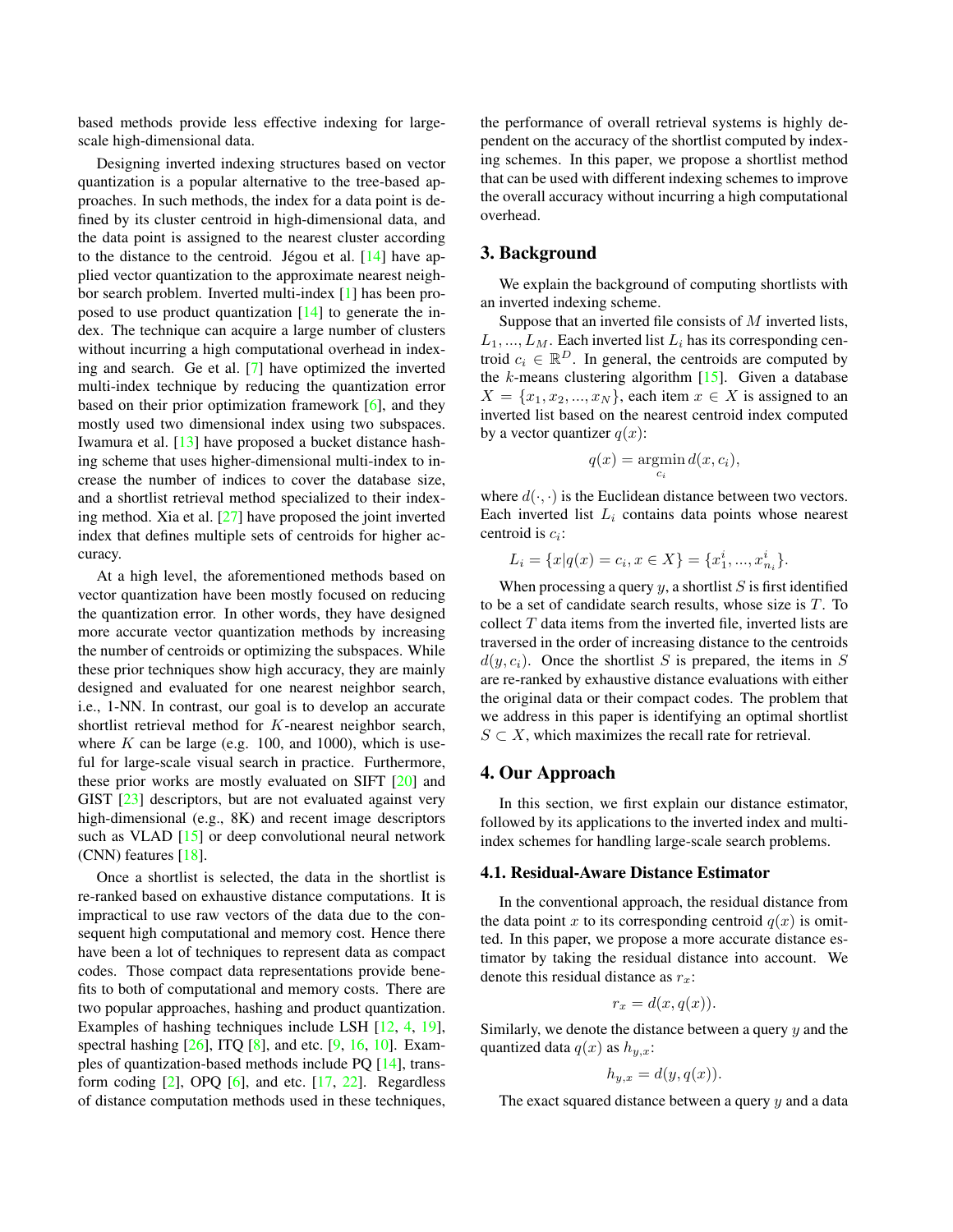<span id="page-1-2"></span>based methods provide less effective indexing for largescale high-dimensional data.

Designing inverted indexing structures based on vector quantization is a popular alternative to the tree-based approaches. In such methods, the index for a data point is defined by its cluster centroid in high-dimensional data, and the data point is assigned to the nearest cluster according to the distance to the centroid. Jégou et al.  $[14]$  $[14]$  have applied vector quantization to the approximate nearest neighbor search problem. Inverted multi-index [\[1\]](#page-8-1) has been proposed to use product quantization [\[14\]](#page-8-0) to generate the index. The technique can acquire a large number of clusters without incurring a high computational overhead in indexing and search. Ge et al. [\[7\]](#page-8-5) have optimized the inverted multi-index technique by reducing the quantization error based on their prior optimization framework [\[6\]](#page-8-6), and they mostly used two dimensional index using two subspaces. Iwamura et al. [\[13\]](#page-8-7) have proposed a bucket distance hashing scheme that uses higher-dimensional multi-index to increase the number of indices to cover the database size, and a shortlist retrieval method specialized to their indexing method. Xia et al. [\[27\]](#page-8-8) have proposed the joint inverted index that defines multiple sets of centroids for higher accuracy.

At a high level, the aforementioned methods based on vector quantization have been mostly focused on reducing the quantization error. In other words, they have designed more accurate vector quantization methods by increasing the number of centroids or optimizing the subspaces. While these prior techniques show high accuracy, they are mainly designed and evaluated for one nearest neighbor search, i.e., 1-NN. In contrast, our goal is to develop an accurate shortlist retrieval method for K-nearest neighbor search, where  $K$  can be large (e.g. 100, and 1000), which is useful for large-scale visual search in practice. Furthermore, these prior works are mostly evaluated on SIFT [\[20\]](#page-8-9) and GIST [\[23\]](#page-8-10) descriptors, but are not evaluated against very high-dimensional (e.g., 8K) and recent image descriptors such as VLAD [\[15\]](#page-8-11) or deep convolutional neural network (CNN) features [\[18\]](#page-8-12).

Once a shortlist is selected, the data in the shortlist is re-ranked based on exhaustive distance computations. It is impractical to use raw vectors of the data due to the consequent high computational and memory cost. Hence there have been a lot of techniques to represent data as compact codes. Those compact data representations provide benefits to both of computational and memory costs. There are two popular approaches, hashing and product quantization. Examples of hashing techniques include LSH [\[12,](#page-8-13) [4,](#page-8-14) [19\]](#page-8-15), spectral hashing  $[26]$ , ITQ  $[8]$ , and etc.  $[9, 16, 10]$  $[9, 16, 10]$  $[9, 16, 10]$  $[9, 16, 10]$  $[9, 16, 10]$ . Examples of quantization-based methods include PQ [\[14\]](#page-8-0), transform coding  $[2]$ , OPQ  $[6]$ , and etc.  $[17, 22]$  $[17, 22]$  $[17, 22]$ . Regardless of distance computation methods used in these techniques, the performance of overall retrieval systems is highly dependent on the accuracy of the shortlist computed by indexing schemes. In this paper, we propose a shortlist method that can be used with different indexing schemes to improve the overall accuracy without incurring a high computational overhead.

## <span id="page-1-1"></span>3. Background

We explain the background of computing shortlists with an inverted indexing scheme.

Suppose that an inverted file consists of  $M$  inverted lists,  $L_1, ..., L_M$ . Each inverted list  $L_i$  has its corresponding centroid  $c_i \in \mathbb{R}^D$ . In general, the centroids are computed by the  $k$ -means clustering algorithm  $[15]$ . Given a database  $X = \{x_1, x_2, ..., x_N\}$ , each item  $x \in X$  is assigned to an inverted list based on the nearest centroid index computed by a vector quantizer  $q(x)$ :

$$
q(x) = \operatorname*{argmin}_{c_i} d(x, c_i),
$$

where  $d(\cdot, \cdot)$  is the Euclidean distance between two vectors. Each inverted list  $L_i$  contains data points whose nearest centroid is  $c_i$ :

$$
L_i = \{x | q(x) = c_i, x \in X\} = \{x_1^i, ..., x_{n_i}^i\}.
$$

When processing a query  $y$ , a shortlist S is first identified to be a set of candidate search results, whose size is T. To collect  $T$  data items from the inverted file, inverted lists are traversed in the order of increasing distance to the centroids  $d(y, c_i)$ . Once the shortlist S is prepared, the items in S are re-ranked by exhaustive distance evaluations with either the original data or their compact codes. The problem that we address in this paper is identifying an optimal shortlist  $S \subset X$ , which maximizes the recall rate for retrieval.

# 4. Our Approach

In this section, we first explain our distance estimator, followed by its applications to the inverted index and multiindex schemes for handling large-scale search problems.

## <span id="page-1-0"></span>4.1. Residual-Aware Distance Estimator

In the conventional approach, the residual distance from the data point x to its corresponding centroid  $q(x)$  is omitted. In this paper, we propose a more accurate distance estimator by taking the residual distance into account. We denote this residual distance as  $r_x$ :

$$
r_x = d(x, q(x)).
$$

Similarly, we denote the distance between a query  $y$  and the quantized data  $q(x)$  as  $h_{y,x}$ :

$$
h_{y,x} = d(y, q(x)).
$$

The exact squared distance between a query  $y$  and a data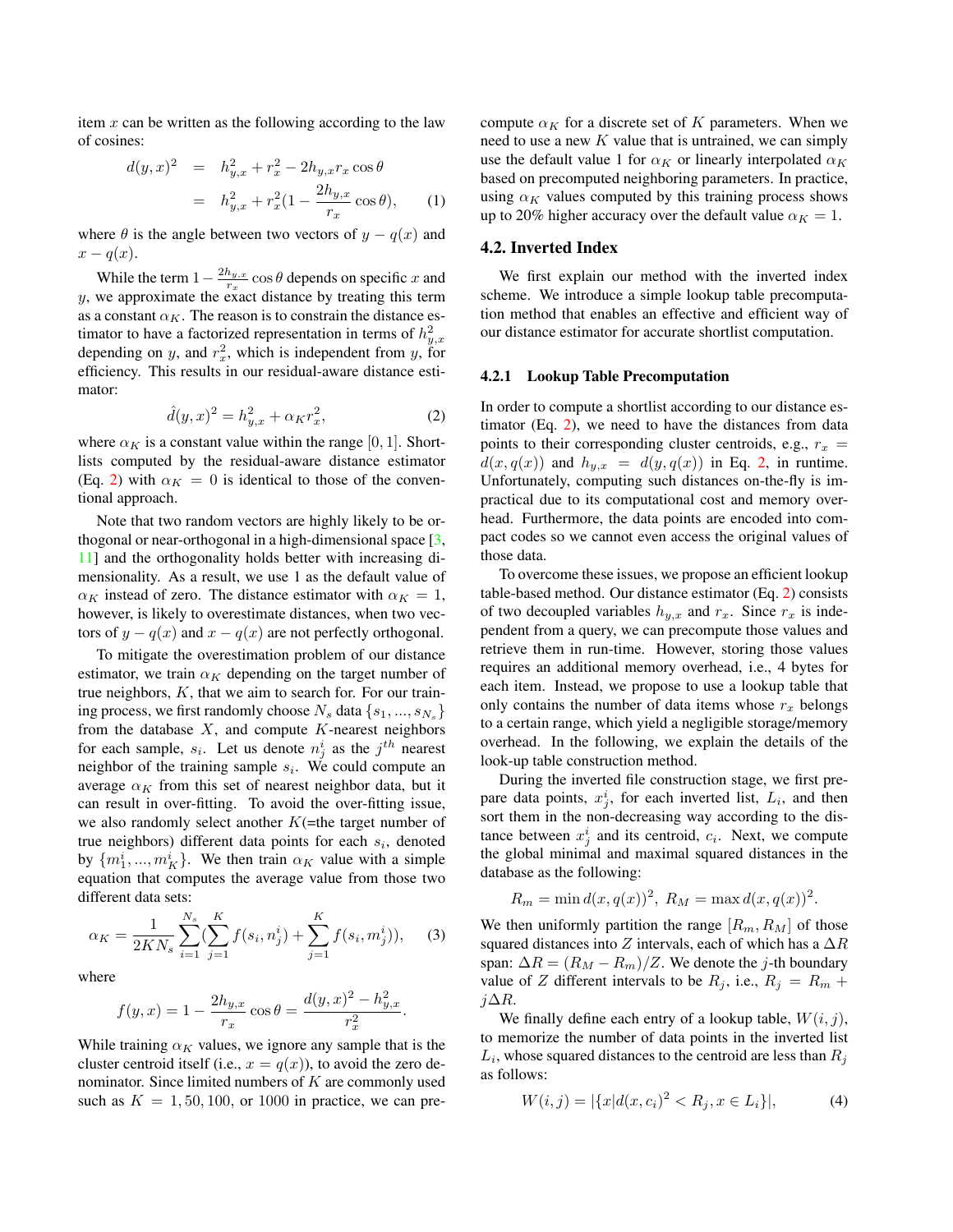<span id="page-2-3"></span>item  $x$  can be written as the following according to the law of cosines:

$$
d(y,x)^2 = h_{y,x}^2 + r_x^2 - 2h_{y,x}r_x \cos \theta
$$
  
=  $h_{y,x}^2 + r_x^2(1 - \frac{2h_{y,x}}{r_x} \cos \theta),$  (1)

where  $\theta$  is the angle between two vectors of  $y - q(x)$  and  $x - q(x)$ .

While the term  $1 - \frac{2h_{y,x}}{r}$  $\frac{u_{y,x}}{r_x}$  cos  $\theta$  depends on specific x and y, we approximate the exact distance by treating this term as a constant  $\alpha_K$ . The reason is to constrain the distance estimator to have a factorized representation in terms of  $h_{y,x}^2$ depending on y, and  $r_x^2$ , which is independent from y, for efficiency. This results in our residual-aware distance estimator:

<span id="page-2-1"></span>
$$
\hat{d}(y,x)^2 = h_{y,x}^2 + \alpha_K r_x^2,\tag{2}
$$

where  $\alpha_K$  is a constant value within the range [0, 1]. Shortlists computed by the residual-aware distance estimator (Eq. [2\)](#page-2-1) with  $\alpha_K = 0$  is identical to those of the conventional approach.

Note that two random vectors are highly likely to be orthogonal or near-orthogonal in a high-dimensional space [\[3,](#page-8-24) [11\]](#page-8-25) and the orthogonality holds better with increasing dimensionality. As a result, we use 1 as the default value of  $\alpha_K$  instead of zero. The distance estimator with  $\alpha_K = 1$ , however, is likely to overestimate distances, when two vectors of  $y - q(x)$  and  $x - q(x)$  are not perfectly orthogonal.

To mitigate the overestimation problem of our distance estimator, we train  $\alpha_K$  depending on the target number of true neighbors,  $K$ , that we aim to search for. For our training process, we first randomly choose  $N_s$  data  $\{s_1, ..., s_{N_s}\}$ from the database  $X$ , and compute  $K$ -nearest neighbors for each sample,  $s_i$ . Let us denote  $n_j^i$  as the  $j^{th}$  nearest neighbor of the training sample  $s_i$ . We could compute an average  $\alpha_K$  from this set of nearest neighbor data, but it can result in over-fitting. To avoid the over-fitting issue, we also randomly select another  $K$ (=the target number of true neighbors) different data points for each  $s_i$ , denoted by  $\{m_1^i, ..., m_K^i\}$ . We then train  $\alpha_K$  value with a simple equation that computes the average value from those two different data sets:

$$
\alpha_K = \frac{1}{2KN_s} \sum_{i=1}^{N_s} \left( \sum_{j=1}^K f(s_i, n_j^i) + \sum_{j=1}^K f(s_i, m_j^i) \right), \quad (3)
$$

where

$$
f(y,x) = 1 - \frac{2h_{y,x}}{r_x} \cos \theta = \frac{d(y,x)^2 - h_{y,x}^2}{r_x^2}.
$$

While training  $\alpha_K$  values, we ignore any sample that is the cluster centroid itself (i.e.,  $x = q(x)$ ), to avoid the zero denominator. Since limited numbers of  $K$  are commonly used such as  $K = 1, 50, 100$ , or 1000 in practice, we can precompute  $\alpha_K$  for a discrete set of K parameters. When we need to use a new  $K$  value that is untrained, we can simply use the default value 1 for  $\alpha_K$  or linearly interpolated  $\alpha_K$ based on precomputed neighboring parameters. In practice, using  $\alpha_K$  values computed by this training process shows up to 20% higher accuracy over the default value  $\alpha_K = 1$ .

## <span id="page-2-0"></span>4.2. Inverted Index

We first explain our method with the inverted index scheme. We introduce a simple lookup table precomputation method that enables an effective and efficient way of our distance estimator for accurate shortlist computation.

#### 4.2.1 Lookup Table Precomputation

In order to compute a shortlist according to our distance estimator (Eq. [2\)](#page-2-1), we need to have the distances from data points to their corresponding cluster centroids, e.g.,  $r_x$  =  $d(x, q(x))$  and  $h_{y,x} = d(y, q(x))$  in Eq. [2,](#page-2-1) in runtime. Unfortunately, computing such distances on-the-fly is impractical due to its computational cost and memory overhead. Furthermore, the data points are encoded into compact codes so we cannot even access the original values of those data.

To overcome these issues, we propose an efficient lookup table-based method. Our distance estimator (Eq. [2\)](#page-2-1) consists of two decoupled variables  $h_{y,x}$  and  $r_x$ . Since  $r_x$  is independent from a query, we can precompute those values and retrieve them in run-time. However, storing those values requires an additional memory overhead, i.e., 4 bytes for each item. Instead, we propose to use a lookup table that only contains the number of data items whose  $r<sub>x</sub>$  belongs to a certain range, which yield a negligible storage/memory overhead. In the following, we explain the details of the look-up table construction method.

During the inverted file construction stage, we first prepare data points,  $x_j^i$ , for each inverted list,  $L_i$ , and then sort them in the non-decreasing way according to the distance between  $x_j^i$  and its centroid,  $c_i$ . Next, we compute the global minimal and maximal squared distances in the database as the following:

$$
R_m = \min d(x, q(x))^2, R_M = \max d(x, q(x))^2.
$$

We then uniformly partition the range  $[R_m, R_M]$  of those squared distances into Z intervals, each of which has a  $\Delta R$ span:  $\Delta R = (R_M - R_m)/Z$ . We denote the j-th boundary value of Z different intervals to be  $R_j$ , i.e.,  $R_j = R_m +$  $j\Delta R$ .

We finally define each entry of a lookup table,  $W(i, j)$ , to memorize the number of data points in the inverted list  $L_i$ , whose squared distances to the centroid are less than  $R_j$ as follows:

<span id="page-2-2"></span>
$$
W(i,j) = |\{x|d(x,c_i)^2 < R_j, x \in L_i\}|,\tag{4}
$$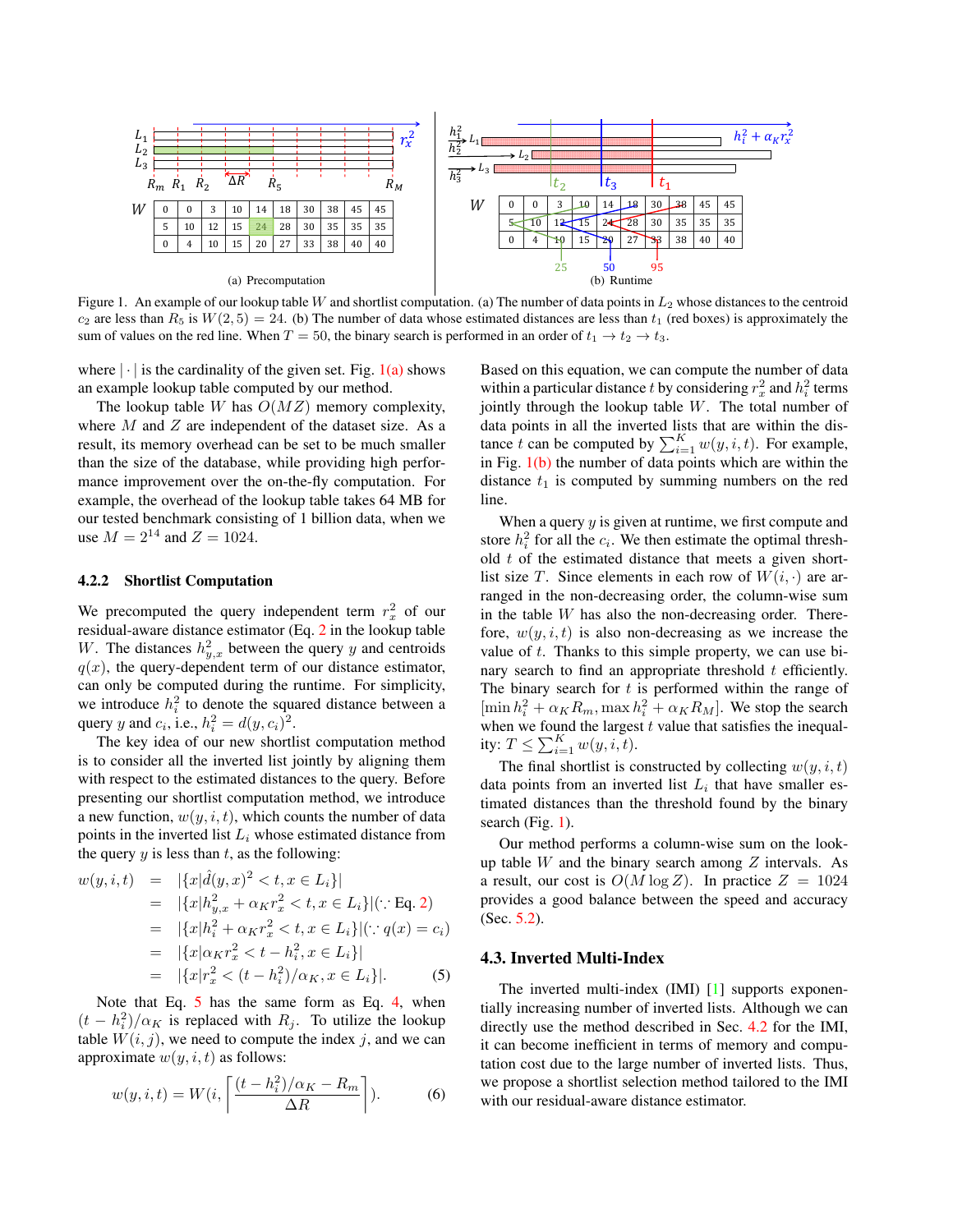<span id="page-3-5"></span>

<span id="page-3-4"></span><span id="page-3-1"></span>Figure 1. An example of our lookup table W and shortlist computation. (a) The number of data points in  $L_2$  whose distances to the centroid  $c_2$  are less than  $R_5$  is  $W(2, 5) = 24$ . (b) The number of data whose estimated distances are less than  $t_1$  (red boxes) is approximately the sum of values on the red line. When  $T = 50$ , the binary search is performed in an order of  $t_1 \rightarrow t_2 \rightarrow t_3$ .

where  $|\cdot|$  is the cardinality of the given set. Fig. [1\(a\)](#page-3-1) shows an example lookup table computed by our method.

The lookup table W has  $O(MZ)$  memory complexity, where  $M$  and  $Z$  are independent of the dataset size. As a result, its memory overhead can be set to be much smaller than the size of the database, while providing high performance improvement over the on-the-fly computation. For example, the overhead of the lookup table takes 64 MB for our tested benchmark consisting of 1 billion data, when we use  $M = 2^{14}$  and  $Z = 1024$ .

## 4.2.2 Shortlist Computation

We precomputed the query independent term  $r_x^2$  of our residual-aware distance estimator (Eq. [2](#page-2-1) in the lookup table W. The distances  $h_{y,x}^2$  between the query y and centroids  $q(x)$ , the query-dependent term of our distance estimator, can only be computed during the runtime. For simplicity, we introduce  $h_i^2$  to denote the squared distance between a query y and  $c_i$ , i.e.,  $h_i^2 = d(y, c_i)^2$ .

The key idea of our new shortlist computation method is to consider all the inverted list jointly by aligning them with respect to the estimated distances to the query. Before presenting our shortlist computation method, we introduce a new function,  $w(y, i, t)$ , which counts the number of data points in the inverted list  $L_i$  whose estimated distance from the query  $y$  is less than  $t$ , as the following:

<span id="page-3-2"></span>
$$
w(y, i, t) = |\{x|\hat{d}(y, x)^2 < t, x \in L_i\}|
$$
  
\n
$$
= |\{x|h_{y,x}^2 + \alpha_K r_x^2 < t, x \in L_i\}| (\because \text{Eq. 2})
$$
  
\n
$$
= |\{x|h_i^2 + \alpha_K r_x^2 < t, x \in L_i\}| (\because q(x) = c_i)
$$
  
\n
$$
= |\{x|\alpha_K r_x^2 < t - h_i^2, x \in L_i\}|
$$
  
\n
$$
= |\{x|r_x^2 < (t - h_i^2)/\alpha_K, x \in L_i\}|.
$$
 (5)

Note that Eq. [5](#page-3-2) has the same form as Eq. [4,](#page-2-2) when  $(t - h_i^2)/\alpha_K$  is replaced with  $R_j$ . To utilize the lookup table  $W(i, j)$ , we need to compute the index j, and we can approximate  $w(y, i, t)$  as follows:

$$
w(y,i,t) = W(i, \left\lceil \frac{(t - h_i^2)/\alpha_K - R_m}{\Delta R} \right\rceil). \tag{6}
$$

<span id="page-3-3"></span>Based on this equation, we can compute the number of data within a particular distance t by considering  $r_x^2$  and  $h_i^2$  terms jointly through the lookup table  $W$ . The total number of data points in all the inverted lists that are within the distance t can be computed by  $\sum_{i=1}^{K} w(y, i, t)$ . For example, in Fig.  $1(b)$  the number of data points which are within the distance  $t_1$  is computed by summing numbers on the red line.

When a query  $y$  is given at runtime, we first compute and store  $h_i^2$  for all the  $c_i$ . We then estimate the optimal threshold  $t$  of the estimated distance that meets a given shortlist size T. Since elements in each row of  $W(i, \cdot)$  are arranged in the non-decreasing order, the column-wise sum in the table  $W$  has also the non-decreasing order. Therefore,  $w(y, i, t)$  is also non-decreasing as we increase the value of  $t$ . Thanks to this simple property, we can use binary search to find an appropriate threshold  $t$  efficiently. The binary search for  $t$  is performed within the range of  $[\min h_i^2 + \alpha_K R_m, \max h_i^2 + \alpha_K R_M]$ . We stop the search when we found the largest  $t$  value that satisfies the inequality:  $T \le \sum_{i=1}^K w(y, i, t)$ .

The final shortlist is constructed by collecting  $w(y, i, t)$ data points from an inverted list  $L_i$  that have smaller estimated distances than the threshold found by the binary search (Fig. [1\)](#page-3-4).

Our method performs a column-wise sum on the lookup table W and the binary search among  $Z$  intervals. As a result, our cost is  $O(M \log Z)$ . In practice  $Z = 1024$ provides a good balance between the speed and accuracy (Sec. [5.2\)](#page-6-0).

# <span id="page-3-0"></span>4.3. Inverted Multi-Index

The inverted multi-index (IMI) [\[1\]](#page-8-1) supports exponentially increasing number of inverted lists. Although we can directly use the method described in Sec. [4.2](#page-2-0) for the IMI, it can become inefficient in terms of memory and computation cost due to the large number of inverted lists. Thus, we propose a shortlist selection method tailored to the IMI with our residual-aware distance estimator.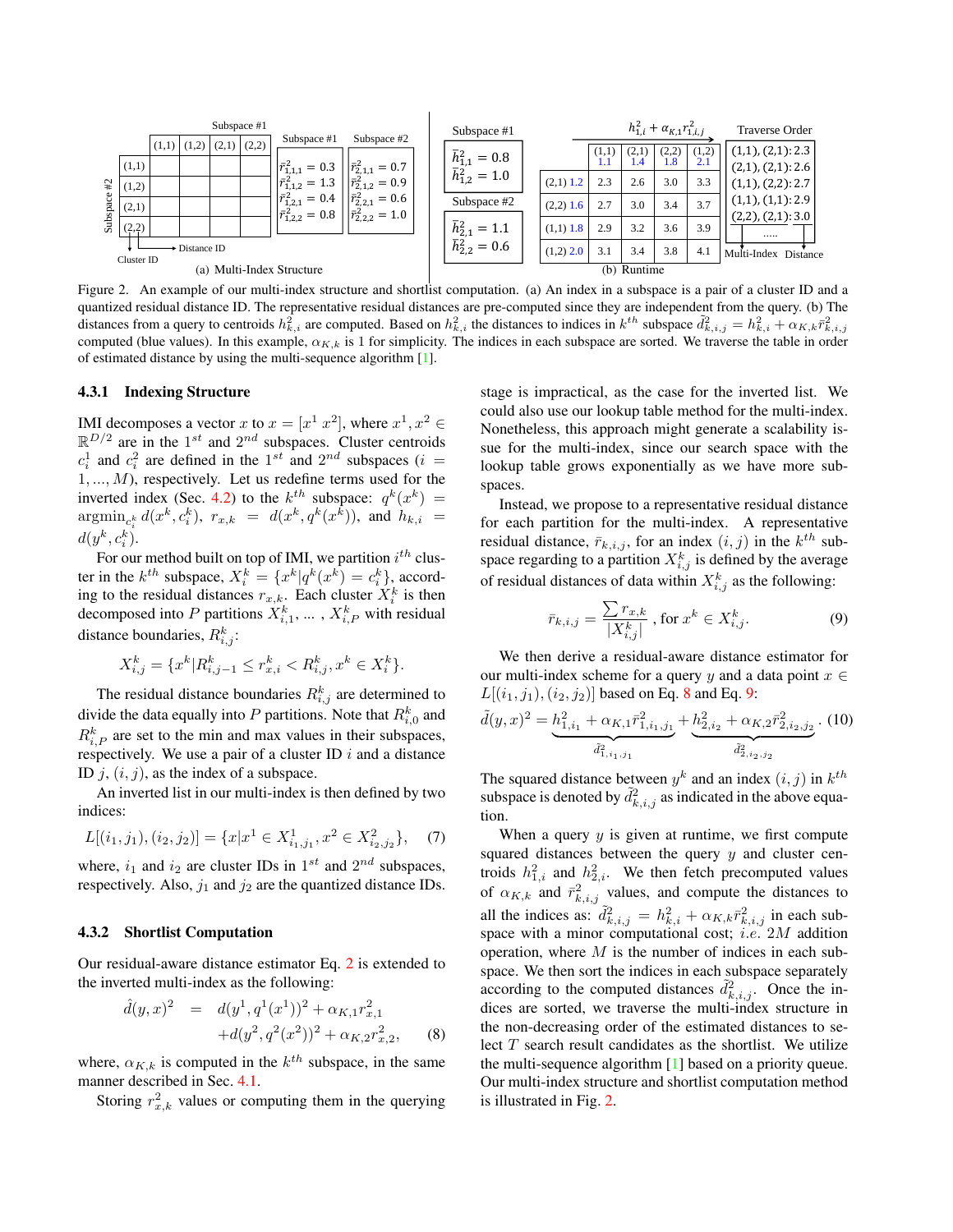<span id="page-4-3"></span>

<span id="page-4-2"></span>Figure 2. An example of our multi-index structure and shortlist computation. (a) An index in a subspace is a pair of a cluster ID and a quantized residual distance ID. The representative residual distances are pre-computed since they are independent from the query. (b) The distances from a query to centroids  $h_{k,i}^2$  are computed. Based on  $h_{k,i}^2$  the distances to indices in  $k^{th}$  subspace  $\tilde{d}_{k,i,j}^2 = h_{k,i}^2 + \alpha_{K,k} \bar{r}_{k,i,j}^2$ computed (blue values). In this example,  $\alpha_{K,k}$  is 1 for simplicity. The indices in each subspace are sorted. We traverse the table in order of estimated distance by using the multi-sequence algorithm [\[1\]](#page-8-1).

#### 4.3.1 Indexing Structure

IMI decomposes a vector x to  $x = [x^1 \ x^2]$ , where  $x^1, x^2 \in$  $\mathbb{R}^{D/2}$  are in the 1<sup>st</sup> and  $2^{nd}$  subspaces. Cluster centroids  $c_i^1$  and  $c_i^2$  are defined in the 1<sup>st</sup> and 2<sup>nd</sup> subspaces (*i* =  $1, \ldots, M$ ), respectively. Let us redefine terms used for the inverted index (Sec. [4.2\)](#page-2-0) to the  $k^{th}$  subspace:  $q^{k}(x^{k}) =$  $\mathop{\rm argmin}_{c_i^k} d(x^k, c_i^k), r_{x,k} = d(x^k, q^k(x^k)), \text{ and } h_{k,i} =$  $d(y^k, c_i^k)$ .

For our method built on top of IMI, we partition  $i^{th}$  cluster in the  $k^{th}$  subspace,  $X_i^k = \{x^k | q^k(x^k) = c_i^k\}$ , according to the residual distances  $r_{x,k}$ . Each cluster  $X_i^k$  is then decomposed into P partitions  $X_{i,1}^k$ , ...,  $X_{i,P}^k$  with residual distance boundaries,  $R_{i,j}^k$ :

$$
X_{i,j}^k = \{x^k | R_{i,j-1}^k \le r_{x,i}^k < R_{i,j}^k, x^k \in X_i^k\}.
$$

The residual distance boundaries  $R_{i,j}^k$  are determined to divide the data equally into P partitions. Note that  $R_{i,0}^k$  and  $R_{i,P}^k$  are set to the min and max values in their subspaces, respectively. We use a pair of a cluster ID  $i$  and a distance ID  $j$ ,  $(i, j)$ , as the index of a subspace.

An inverted list in our multi-index is then defined by two indices:

$$
L[(i_1,j_1),(i_2,j_2)] = \{x|x^1 \in X^1_{i_1,j_1}, x^2 \in X^2_{i_2,j_2}\},\quad (7)
$$

where,  $i_1$  and  $i_2$  are cluster IDs in 1<sup>st</sup> and 2<sup>nd</sup> subspaces, respectively. Also,  $j_1$  and  $j_2$  are the quantized distance IDs.

#### 4.3.2 Shortlist Computation

Our residual-aware distance estimator Eq. [2](#page-2-1) is extended to the inverted multi-index as the following:

<span id="page-4-0"></span>
$$
\hat{d}(y,x)^2 = d(y^1, q^1(x^1))^2 + \alpha_{K,1}r_{x,1}^2
$$
  
+
$$
+d(y^2, q^2(x^2))^2 + \alpha_{K,2}r_{x,2}^2,
$$
 (8)

where,  $\alpha_{K,k}$  is computed in the  $k^{th}$  subspace, in the same manner described in Sec. [4.1.](#page-1-0)

Storing  $r_{x,k}^2$  values or computing them in the querying

stage is impractical, as the case for the inverted list. We could also use our lookup table method for the multi-index. Nonetheless, this approach might generate a scalability issue for the multi-index, since our search space with the lookup table grows exponentially as we have more subspaces.

Instead, we propose to a representative residual distance for each partition for the multi-index. A representative residual distance,  $\bar{r}_{k,i,j}$ , for an index  $(i, j)$  in the  $k^{th}$  subspace regarding to a partition  $X_{i,j}^k$  is defined by the average of residual distances of data within  $X_{i,j}^k$  as the following:

<span id="page-4-1"></span>
$$
\bar{r}_{k,i,j} = \frac{\sum r_{x,k}}{|X_{i,j}^k|}, \text{ for } x^k \in X_{i,j}^k.
$$
 (9)

We then derive a residual-aware distance estimator for our multi-index scheme for a query y and a data point  $x \in$  $L[(i_1, j_1), (i_2, j_2)]$  based on Eq. [8](#page-4-0) and Eq. [9:](#page-4-1)

$$
\tilde{d}(y,x)^2 = \underbrace{h_{1,i_1}^2 + \alpha_{K,1} \bar{r}_{1,i_1,j_1}^2}_{\tilde{d}_{1,i_1,j_1}^2} + \underbrace{h_{2,i_2}^2 + \alpha_{K,2} \bar{r}_{2,i_2,j_2}^2}_{\tilde{d}_{2,i_2,j_2}^2}.
$$
 (10)

The squared distance between  $y^k$  and an index  $(i, j)$  in  $k^{th}$ subspace is denoted by  $\tilde{d}_{k,i,j}^2$  as indicated in the above equation.

When a query  $y$  is given at runtime, we first compute squared distances between the query  $y$  and cluster centroids  $h_{1,i}^2$  and  $h_{2,i}^2$ . We then fetch precomputed values of  $\alpha_{K,k}$  and  $\bar{r}^2_{k,i,j}$  values, and compute the distances to all the indices as:  $\tilde{d}_{k,i,j}^2 = h_{k,i}^2 + \alpha_{K,k} \bar{r}_{k,i,j}^2$  in each subspace with a minor computational cost; *i.e.*  $2M$  addition operation, where  $M$  is the number of indices in each subspace. We then sort the indices in each subspace separately according to the computed distances  $\tilde{d}_{k,i,j}^2$ . Once the indices are sorted, we traverse the multi-index structure in the non-decreasing order of the estimated distances to select  $T$  search result candidates as the shortlist. We utilize the multi-sequence algorithm [\[1\]](#page-8-1) based on a priority queue. Our multi-index structure and shortlist computation method is illustrated in Fig. [2.](#page-4-2)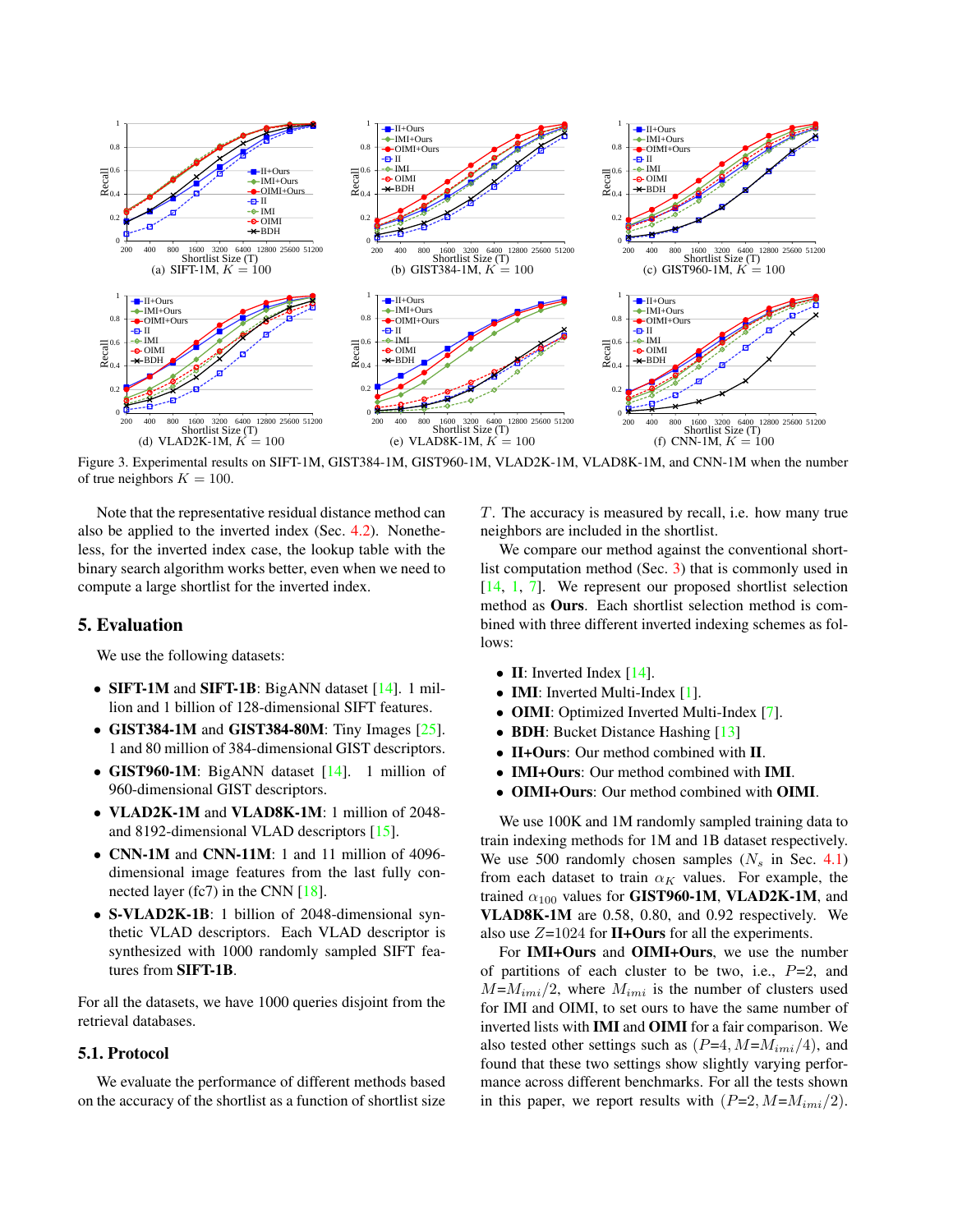<span id="page-5-2"></span>

<span id="page-5-1"></span>Figure 3. Experimental results on SIFT-1M, GIST384-1M, GIST960-1M, VLAD2K-1M, VLAD8K-1M, and CNN-1M when the number of true neighbors  $K = 100$ .

Note that the representative residual distance method can also be applied to the inverted index (Sec. [4.2\)](#page-2-0). Nonetheless, for the inverted index case, the lookup table with the binary search algorithm works better, even when we need to compute a large shortlist for the inverted index.

# <span id="page-5-0"></span>5. Evaluation

We use the following datasets:

- **SIFT-1M** and **SIFT-1B**: BigANN dataset [\[14\]](#page-8-0). 1 million and 1 billion of 128-dimensional SIFT features.
- GIST384-1M and GIST384-80M: Tiny Images  $[25]$ . 1 and 80 million of 384-dimensional GIST descriptors.
- GIST960-1M: BigANN dataset [\[14\]](#page-8-0). 1 million of 960-dimensional GIST descriptors.
- VLAD2K-1M and VLAD8K-1M: 1 million of 2048 and 8192-dimensional VLAD descriptors [\[15\]](#page-8-11).
- CNN-1M and CNN-11M: 1 and 11 million of 4096 dimensional image features from the last fully connected layer (fc7) in the CNN [\[18\]](#page-8-12).
- S-VLAD2K-1B: 1 billion of 2048-dimensional synthetic VLAD descriptors. Each VLAD descriptor is synthesized with 1000 randomly sampled SIFT features from SIFT-1B.

For all the datasets, we have 1000 queries disjoint from the retrieval databases.

# 5.1. Protocol

We evaluate the performance of different methods based on the accuracy of the shortlist as a function of shortlist size T. The accuracy is measured by recall, i.e. how many true neighbors are included in the shortlist.

We compare our method against the conventional shortlist computation method (Sec. [3\)](#page-1-1) that is commonly used in [\[14,](#page-8-0) [1,](#page-8-1) [7\]](#page-8-5). We represent our proposed shortlist selection method as Ours. Each shortlist selection method is combined with three different inverted indexing schemes as follows:

- II: Inverted Index  $[14]$ .
- **IMI**: Inverted Multi-Index [\[1\]](#page-8-1).
- **OIMI**: Optimized Inverted Multi-Index [\[7\]](#page-8-5).
- **BDH**: Bucket Distance Hashing [\[13\]](#page-8-7)
- II+Ours: Our method combined with II.
- IMI+Ours: Our method combined with IMI.
- OIMI+Ours: Our method combined with OIMI.

We use 100K and 1M randomly sampled training data to train indexing methods for 1M and 1B dataset respectively. We use 500 randomly chosen samples  $(N_s \text{ in Sec. } 4.1)$  $(N_s \text{ in Sec. } 4.1)$ from each dataset to train  $\alpha_K$  values. For example, the trained  $\alpha_{100}$  values for GIST960-1M, VLAD2K-1M, and VLAD8K-1M are 0.58, 0.80, and 0.92 respectively. We also use  $Z=1024$  for II+Ours for all the experiments.

For IMI+Ours and OIMI+Ours, we use the number of partitions of each cluster to be two, i.e.,  $P=2$ , and  $M=M_{imi}/2$ , where  $M_{imi}$  is the number of clusters used for IMI and OIMI, to set ours to have the same number of inverted lists with IMI and OIMI for a fair comparison. We also tested other settings such as  $(P=4, M=M_{imi}/4)$ , and found that these two settings show slightly varying performance across different benchmarks. For all the tests shown in this paper, we report results with  $(P=2, M=M_{imi}/2)$ .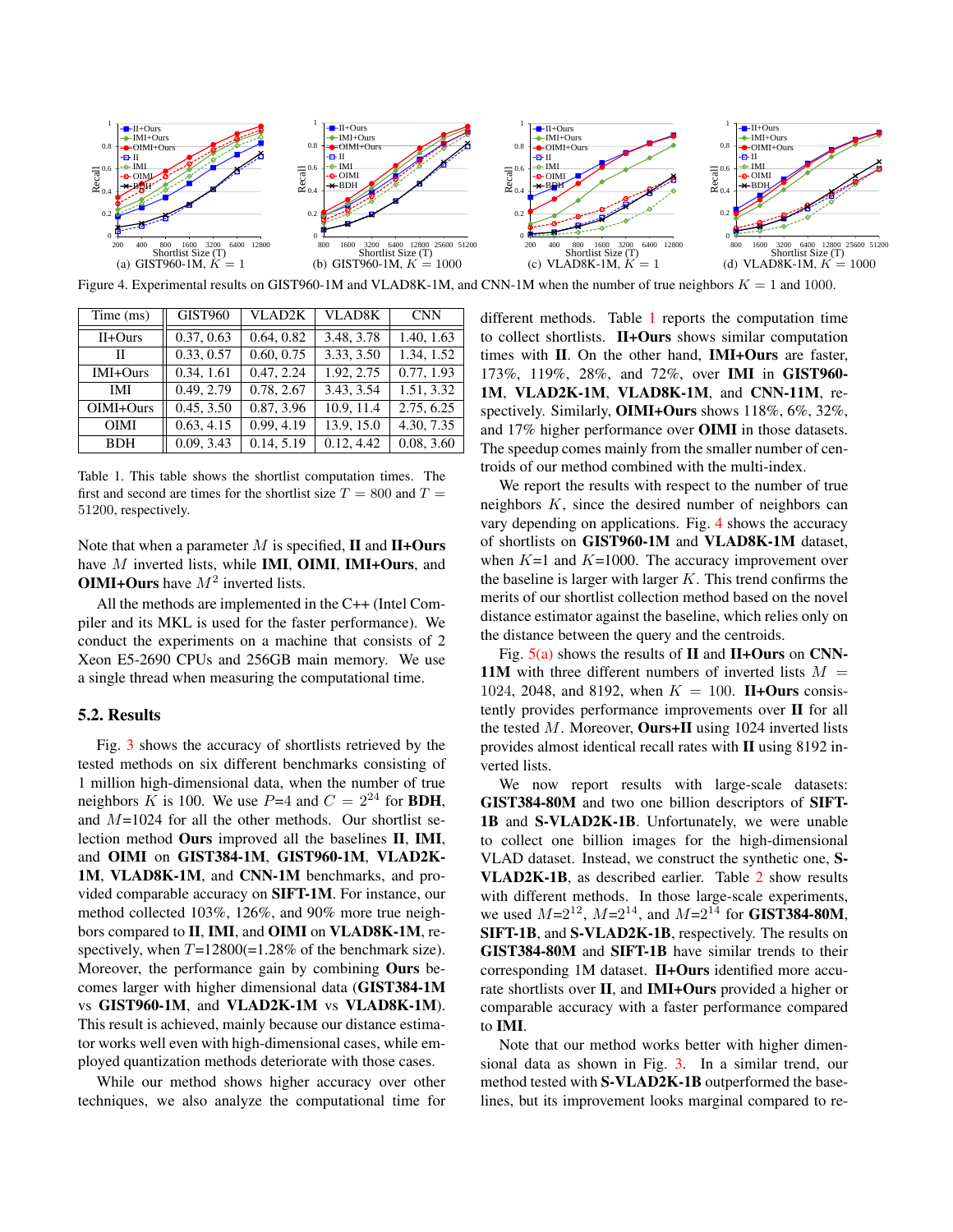

<span id="page-6-2"></span>Figure 4. Experimental results on GIST960-1M and VLAD8K-1M, and CNN-1M when the number of true neighbors  $K = 1$  and 1000.

| Time (ms)   | <b>GIST960</b> | <b>VLAD2K</b> | <b>VLAD8K</b> | <b>CNN</b>              |
|-------------|----------------|---------------|---------------|-------------------------|
| $II+Ours$   | 0.37, 0.63     | 0.64, 0.82    | 3.48, 3.78    | 1.40, 1.63              |
| П           | 0.33, 0.57     | 0.60, 0.75    | 3.33, 3.50    | 1.34, 1.52              |
| IMI+Ours    | 0.34, 1.61     | 0.47, 2.24    | 1.92, 2.75    | 0.77, 1.93              |
| <b>IMI</b>  | 0.49, 2.79     | 0.78, 2.67    | 3.43, 3.54    | $\overline{1.51, 3.32}$ |
| OIMI+Ours   | 0.45, 3.50     | 0.87, 3.96    | 10.9, 11.4    | 2.75, 6.25              |
| <b>OIMI</b> | 0.63, 4.15     | 0.99, 4.19    | 13.9, 15.0    | 4.30, 7.35              |
| <b>BDH</b>  | 0.09, 3.43     | 0.14, 5.19    | 0.12, 4.42    | 0.08, 3.60              |

<span id="page-6-1"></span>Table 1. This table shows the shortlist computation times. The first and second are times for the shortlist size  $T = 800$  and  $T =$ 51200, respectively.

Note that when a parameter  $M$  is specified,  $\mathbf{II}$  and  $\mathbf{II}$ +Ours have M inverted lists, while **IMI**, **OIMI**, **IMI+Ours**, and **OIMI+Ours** have  $M^2$  inverted lists.

All the methods are implemented in the C++ (Intel Compiler and its MKL is used for the faster performance). We conduct the experiments on a machine that consists of 2 Xeon E5-2690 CPUs and 256GB main memory. We use a single thread when measuring the computational time.

## <span id="page-6-0"></span>5.2. Results

Fig. [3](#page-5-1) shows the accuracy of shortlists retrieved by the tested methods on six different benchmarks consisting of 1 million high-dimensional data, when the number of true neighbors K is 100. We use  $P=4$  and  $C = 2^{24}$  for **BDH**, and  $M=1024$  for all the other methods. Our shortlist selection method Ours improved all the baselines II, IMI, and OIMI on GIST384-1M, GIST960-1M, VLAD2K-1M, VLAD8K-1M, and CNN-1M benchmarks, and provided comparable accuracy on SIFT-1M. For instance, our method collected 103%, 126%, and 90% more true neighbors compared to II, IMI, and OIMI on VLAD8K-1M, respectively, when  $T=12800(=1.28\%$  of the benchmark size). Moreover, the performance gain by combining Ours becomes larger with higher dimensional data (GIST384-1M vs GIST960-1M, and VLAD2K-1M vs VLAD8K-1M). This result is achieved, mainly because our distance estimator works well even with high-dimensional cases, while employed quantization methods deteriorate with those cases.

While our method shows higher accuracy over other techniques, we also analyze the computational time for different methods. Table [1](#page-6-1) reports the computation time to collect shortlists. II+Ours shows similar computation times with II. On the other hand, IMI+Ours are faster, 173%, 119%, 28%, and 72%, over IMI in GIST960- 1M, VLAD2K-1M, VLAD8K-1M, and CNN-11M, respectively. Similarly, OIMI+Ours shows 118%, 6%, 32%, and 17% higher performance over OIMI in those datasets. The speedup comes mainly from the smaller number of centroids of our method combined with the multi-index.

We report the results with respect to the number of true neighbors  $K$ , since the desired number of neighbors can vary depending on applications. Fig. [4](#page-6-2) shows the accuracy of shortlists on GIST960-1M and VLAD8K-1M dataset, when  $K=1$  and  $K=1000$ . The accuracy improvement over the baseline is larger with larger  $K$ . This trend confirms the merits of our shortlist collection method based on the novel distance estimator against the baseline, which relies only on the distance between the query and the centroids.

Fig.  $5(a)$  shows the results of II and II+Ours on CNN-11M with three different numbers of inverted lists  $M =$ 1024, 2048, and 8192, when  $K = 100$ . II+Ours consistently provides performance improvements over II for all the tested  $M$ . Moreover, **Ours+II** using 1024 inverted lists provides almost identical recall rates with II using 8192 inverted lists.

We now report results with large-scale datasets: GIST384-80M and two one billion descriptors of SIFT-1B and S-VLAD2K-1B. Unfortunately, we were unable to collect one billion images for the high-dimensional VLAD dataset. Instead, we construct the synthetic one, S-VLAD2K-1B, as described earlier. Table [2](#page-7-1) show results with different methods. In those large-scale experiments, we used  $M=2^{12}$ ,  $M=2^{14}$ , and  $M=2^{14}$  for **GIST384-80M**, SIFT-1B, and S-VLAD2K-1B, respectively. The results on GIST384-80M and SIFT-1B have similar trends to their corresponding 1M dataset. II+Ours identified more accurate shortlists over II, and IMI+Ours provided a higher or comparable accuracy with a faster performance compared to IMI.

Note that our method works better with higher dimensional data as shown in Fig. [3.](#page-5-1) In a similar trend, our method tested with S-VLAD2K-1B outperformed the baselines, but its improvement looks marginal compared to re-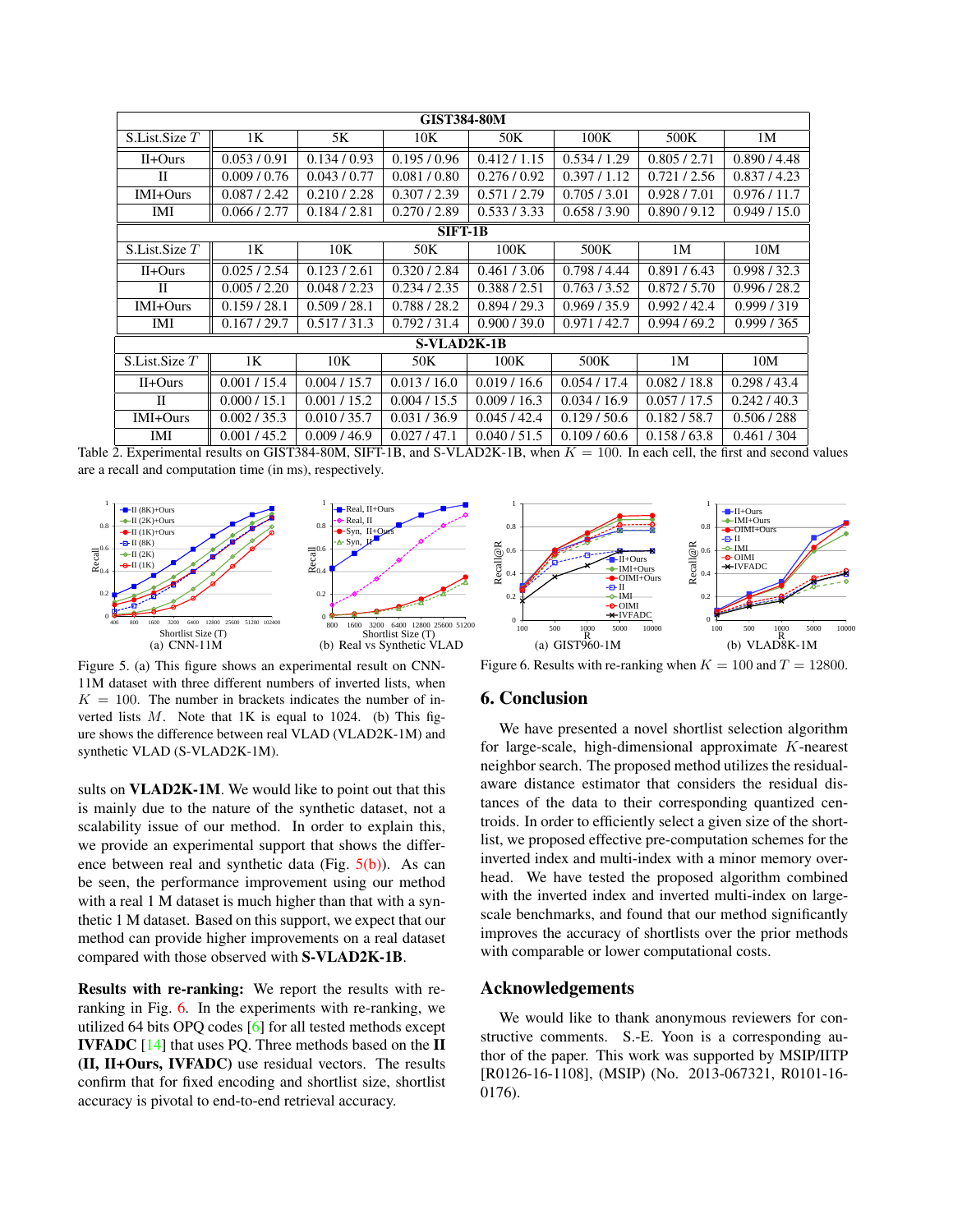<span id="page-7-4"></span>

| <b>GIST384-80M</b> |                |              |              |              |              |              |              |  |  |  |
|--------------------|----------------|--------------|--------------|--------------|--------------|--------------|--------------|--|--|--|
| S.List.Size T      | 1 <sub>K</sub> | 5K           | 10K          | 50K          | 100K         | 500K         | 1M           |  |  |  |
| $II+Ours$          | 0.053/0.91     | 0.134 / 0.93 | 0.195/0.96   | 0.412 / 1.15 | 0.534/1.29   | 0.805 / 2.71 | 0.890 / 4.48 |  |  |  |
| П                  | 0.009 / 0.76   | 0.043/0.77   | 0.081 / 0.80 | 0.276/0.92   | 0.397 / 1.12 | 0.721/2.56   | 0.837 / 4.23 |  |  |  |
| IMI+Ours           | 0.087 / 2.42   | 0.210 / 2.28 | 0.307 / 2.39 | 0.571/2.79   | 0.705 / 3.01 | 0.928 / 7.01 | 0.976 / 11.7 |  |  |  |
| IMI                | 0.066 / 2.77   | 0.184 / 2.81 | 0.270 / 2.89 | 0.533 / 3.33 | 0.658 / 3.90 | 0.890 / 9.12 | 0.949/15.0   |  |  |  |
| SIFT-1B            |                |              |              |              |              |              |              |  |  |  |
| S.List.Size T      | 1K             | 10K          | 50K          | 100K         | 500K         | 1M           | 10M          |  |  |  |
| $II+Ours$          | 0.025/2.54     | 0.123/2.61   | 0.320 / 2.84 | 0.461 / 3.06 | 0.798 / 4.44 | 0.891 / 6.43 | 0.998 / 32.3 |  |  |  |
| H                  | 0.005 / 2.20   | 0.048 / 2.23 | 0.234 / 2.35 | 0.388 / 2.51 | 0.763 / 3.52 | 0.872 / 5.70 | 0.996 / 28.2 |  |  |  |
| IMI+Ours           | 0.159 / 28.1   | 0.509 / 28.1 | 0.788 / 28.2 | 0.894 / 29.3 | 0.969 / 35.9 | 0.992 / 42.4 | 0.999 / 319  |  |  |  |
| IMI                | 0.167 / 29.7   | 0.517 / 31.3 | 0.792 / 31.4 | 0.900 / 39.0 | 0.971/42.7   | 0.994/69.2   | 0.999 / 365  |  |  |  |
| S-VLAD2K-1B        |                |              |              |              |              |              |              |  |  |  |
| S.List.Size T      | 1 <sub>K</sub> | 10K          | 50K          | 100K         | 500K         | 1M           | 10M          |  |  |  |
| $II+Ours$          | 0.001 / 15.4   | 0.004 / 15.7 | 0.013 / 16.0 | 0.019/16.6   | 0.054 / 17.4 | 0.082 / 18.8 | 0.298 / 43.4 |  |  |  |
| П                  | 0.000 / 15.1   | 0.001 / 15.2 | 0.004 / 15.5 | 0.009/16.3   | 0.034 / 16.9 | 0.057 / 17.5 | 0.242/40.3   |  |  |  |
| IMI+Ours           | 0.002 / 35.3   | 0.010 / 35.7 | 0.031 / 36.9 | 0.045/42.4   | 0.129/50.6   | 0.182 / 58.7 | 0.506 / 288  |  |  |  |
| IMI                | 0.001 / 45.2   | 0.009/46.9   | 0.027/47.1   | 0.040 / 51.5 | 0.109/60.6   | 0.158 / 63.8 | 0.461 / 304  |  |  |  |

<span id="page-7-1"></span>Table 2. Experimental results on GIST384-80M, SIFT-1B, and S-VLAD2K-1B, when  $K = 100$ . In each cell, the first and second values are a recall and computation time (in ms), respectively.



<span id="page-7-0"></span>Figure 5. (a) This figure shows an experimental result on CNN-11M dataset with three different numbers of inverted lists, when  $K = 100$ . The number in brackets indicates the number of inverted lists  $M$ . Note that 1K is equal to 1024. (b) This figure shows the difference between real VLAD (VLAD2K-1M) and synthetic VLAD (S-VLAD2K-1M).

sults on **VLAD2K-1M**. We would like to point out that this is mainly due to the nature of the synthetic dataset, not a scalability issue of our method. In order to explain this, we provide an experimental support that shows the difference between real and synthetic data (Fig.  $5(b)$ ). As can be seen, the performance improvement using our method with a real 1 M dataset is much higher than that with a synthetic 1 M dataset. Based on this support, we expect that our method can provide higher improvements on a real dataset compared with those observed with S-VLAD2K-1B.

Results with re-ranking: We report the results with reranking in Fig. [6.](#page-7-3) In the experiments with re-ranking, we utilized 64 bits OPQ codes [\[6\]](#page-8-6) for all tested methods except IVFADC [\[14\]](#page-8-0) that uses PQ. Three methods based on the II (II, II+Ours, IVFADC) use residual vectors. The results confirm that for fixed encoding and shortlist size, shortlist accuracy is pivotal to end-to-end retrieval accuracy.



<span id="page-7-3"></span><span id="page-7-2"></span>Figure 6. Results with re-ranking when  $K = 100$  and  $T = 12800$ .

# 6. Conclusion

We have presented a novel shortlist selection algorithm for large-scale, high-dimensional approximate K-nearest neighbor search. The proposed method utilizes the residualaware distance estimator that considers the residual distances of the data to their corresponding quantized centroids. In order to efficiently select a given size of the shortlist, we proposed effective pre-computation schemes for the inverted index and multi-index with a minor memory overhead. We have tested the proposed algorithm combined with the inverted index and inverted multi-index on largescale benchmarks, and found that our method significantly improves the accuracy of shortlists over the prior methods with comparable or lower computational costs.

# Acknowledgements

We would like to thank anonymous reviewers for constructive comments. S.-E. Yoon is a corresponding author of the paper. This work was supported by MSIP/IITP [R0126-16-1108], (MSIP) (No. 2013-067321, R0101-16- 0176).